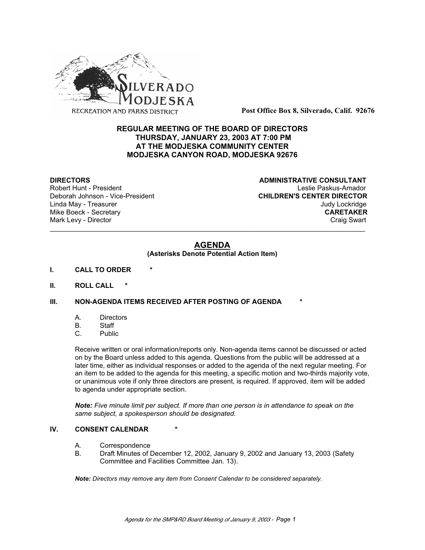

**Post Office Box 8, Silverado, Calif. 92676**

# **REGULAR MEETING OF THE BOARD OF DIRECTORS THURSDAY, JANUARY 23, 2003 AT 7:00 PM AT THE MODJESKA COMMUNITY CENTER MODJESKA CANYON ROAD, MODJESKA 92676**

Deborah Johnson - Vice-President

**DIRECTORS CONSULTANT** Robert Hunt - President **National Community Community** Leslie Paskus-Amador<br>Deborah Johnson - Vice-President **Lessen CHILDREN'S CENTER DIRECTOR** Linda May - Treasurer Judy Lockridge Mike Boeck - Secretary **CARETAKER** Mark Levy - Director **Craig Swart** Craig Swart Craig Swart Craig Swart

# **AGENDA**

\_\_\_\_\_\_\_\_\_\_\_\_\_\_\_\_\_\_\_\_\_\_\_\_\_\_\_\_\_\_\_\_\_\_\_\_\_\_\_\_\_\_\_\_\_\_\_\_\_\_\_\_\_\_\_\_\_\_\_\_\_\_\_\_\_\_\_\_\_\_\_\_\_\_\_\_\_\_\_\_\_\_\_

# **(Asterisks Denote Potential Action Item)**

- **I. CALL TO ORDER \***
- **II. ROLL CALL \***

# **III. NON-AGENDA ITEMS RECEIVED AFTER POSTING OF AGENDA**

- A. Directors
- B. Staff
- C. Public

Receive written or oral information/reports only. Non-agenda items cannot be discussed or acted on by the Board unless added to this agenda. Questions from the public will be addressed at a later time, either as individual responses or added to the agenda of the next regular meeting. For an item to be added to the agenda for this meeting, a specific motion and two-thirds majority vote, or unanimous vote if only three directors are present, is required. If approved, item will be added to agenda under appropriate section.

*Note: Five minute limit per subject. If more than one person is in attendance to speak on the same subject, a spokesperson should be designated.*

# **IV. CONSENT CALENDAR**

- A. Correspondence
- B. Draft Minutes of December 12, 2002, January 9, 2002 and January 13, 2003 (Safety Committee and Facilities Committee Jan. 13).

*Note: Directors may remove any item from Consent Calendar to be considered separately.*